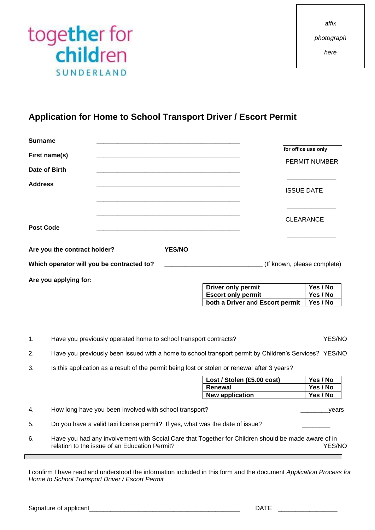

## together for<br>children SUNDERLAND

## **Application for Home to School Transport Driver / Escort Permit**

| <b>Surname</b>                            |                                                         |                    |                             |
|-------------------------------------------|---------------------------------------------------------|--------------------|-----------------------------|
|                                           |                                                         |                    | for office use only         |
| First name(s)                             |                                                         |                    | <b>PERMIT NUMBER</b>        |
| Date of Birth                             |                                                         |                    |                             |
| <b>Address</b>                            |                                                         |                    |                             |
|                                           |                                                         |                    | <b>ISSUE DATE</b>           |
|                                           |                                                         |                    |                             |
|                                           |                                                         |                    |                             |
|                                           |                                                         |                    | <b>CLEARANCE</b>            |
| <b>Post Code</b>                          |                                                         |                    |                             |
|                                           |                                                         |                    |                             |
| Are you the contract holder?              | <b>YES/NO</b>                                           |                    |                             |
| Which operator will you be contracted to? | <u> 1980 - John Stein, mars and de Britannie (b. 19</u> |                    | (If known, please complete) |
| Are you applying for:                     |                                                         |                    |                             |
|                                           |                                                         | Driver only permit | Yes / No                    |

| <b>Driver only permit</b>       | Yes / No         |
|---------------------------------|------------------|
| <b>Escort only permit</b>       | Yes / No         |
| both a Driver and Escort permit | $\vert$ Yes / No |

1. Have you previously operated home to school transport contracts? The Matteo MCS YES/NO

2. Have you previously been issued with a home to school transport permit by Children's Services? YES/NO

3. Is this application as a result of the permit being lost or stolen or renewal after 3 years?

|    |                                                                                                                                                      | Lost / Stolen (£5.00 cost)        | Yes / No<br>Yes / No<br>Yes / No |
|----|------------------------------------------------------------------------------------------------------------------------------------------------------|-----------------------------------|----------------------------------|
|    |                                                                                                                                                      | Renewal<br><b>New application</b> |                                  |
|    |                                                                                                                                                      |                                   |                                  |
| 4. | How long have you been involved with school transport?                                                                                               |                                   | vears                            |
| 5. | Do you have a valid taxi license permit? If yes, what was the date of issue?                                                                         |                                   |                                  |
| 6. | Have you had any involvement with Social Care that Together for Children should be made aware of in<br>relation to the issue of an Education Permit? |                                   | YES/NO                           |
|    |                                                                                                                                                      |                                   |                                  |

I confirm I have read and understood the information included in this form and the document *Application Process for Home to School Transport Driver / Escort Permit*